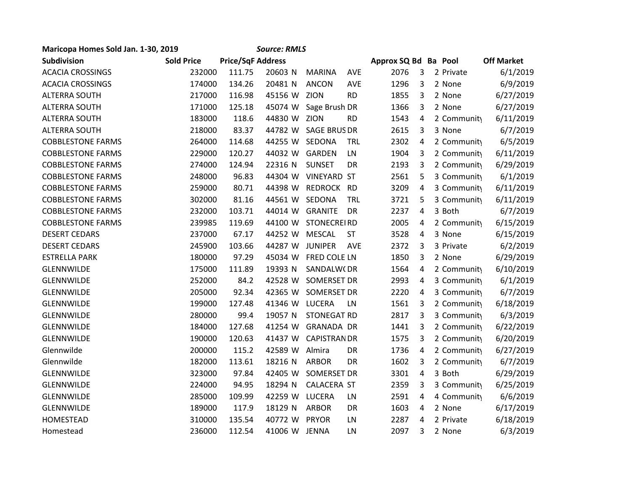| Maricopa Homes Sold Jan. 1-30, 2019 |                   |                          | <b>Source: RMLS</b> |                     |            |                      |   |             |                   |
|-------------------------------------|-------------------|--------------------------|---------------------|---------------------|------------|----------------------|---|-------------|-------------------|
| Subdivision                         | <b>Sold Price</b> | <b>Price/SqF Address</b> |                     |                     |            | Approx SQ Bd Ba Pool |   |             | <b>Off Market</b> |
| <b>ACACIA CROSSINGS</b>             | 232000            | 111.75                   | 20603 N             | <b>MARINA</b>       | AVE        | 2076                 | 3 | 2 Private   | 6/1/2019          |
| <b>ACACIA CROSSINGS</b>             | 174000            | 134.26                   | 20481 N             | <b>ANCON</b>        | AVE        | 1296                 | 3 | 2 None      | 6/9/2019          |
| <b>ALTERRA SOUTH</b>                | 217000            | 116.98                   | 45156 W ZION        |                     | <b>RD</b>  | 1855                 | 3 | 2 None      | 6/27/2019         |
| <b>ALTERRA SOUTH</b>                | 171000            | 125.18                   | 45074 W             | Sage Brush DR       |            | 1366                 | 3 | 2 None      | 6/27/2019         |
| <b>ALTERRA SOUTH</b>                | 183000            | 118.6                    | 44830 W ZION        |                     | <b>RD</b>  | 1543                 | 4 | 2 Community | 6/11/2019         |
| <b>ALTERRA SOUTH</b>                | 218000            | 83.37                    | 44782 W             | <b>SAGE BRUS DR</b> |            | 2615                 | 3 | 3 None      | 6/7/2019          |
| <b>COBBLESTONE FARMS</b>            | 264000            | 114.68                   | 44255 W             | SEDONA              | <b>TRL</b> | 2302                 | 4 | 2 Community | 6/5/2019          |
| <b>COBBLESTONE FARMS</b>            | 229000            | 120.27                   | 44032 W             | GARDEN              | LN         | 1904                 | 3 | 2 Community | 6/11/2019         |
| <b>COBBLESTONE FARMS</b>            | 274000            | 124.94                   | 22316 N             | <b>SUNSET</b>       | DR         | 2193                 | 3 | 2 Community | 6/29/2019         |
| <b>COBBLESTONE FARMS</b>            | 248000            | 96.83                    |                     | 44304 W VINEYARD ST |            | 2561                 | 5 | 3 Community | 6/1/2019          |
| <b>COBBLESTONE FARMS</b>            | 259000            | 80.71                    | 44398 W             | REDROCK             | <b>RD</b>  | 3209                 | 4 | 3 Community | 6/11/2019         |
| <b>COBBLESTONE FARMS</b>            | 302000            | 81.16                    | 44561 W             | SEDONA              | <b>TRL</b> | 3721                 | 5 | 3 Community | 6/11/2019         |
| <b>COBBLESTONE FARMS</b>            | 232000            | 103.71                   | 44014 W GRANITE     |                     | DR         | 2237                 | 4 | 3 Both      | 6/7/2019          |
| <b>COBBLESTONE FARMS</b>            | 239985            | 119.69                   | 44100 W             | <b>STONECREIRD</b>  |            | 2005                 | 4 | 2 Community | 6/15/2019         |
| <b>DESERT CEDARS</b>                | 237000            | 67.17                    | 44252 W             | <b>MESCAL</b>       | <b>ST</b>  | 3528                 | 4 | 3 None      | 6/15/2019         |
| <b>DESERT CEDARS</b>                | 245900            | 103.66                   | 44287 W             | <b>JUNIPER</b>      | AVE        | 2372                 | 3 | 3 Private   | 6/2/2019          |
| <b>ESTRELLA PARK</b>                | 180000            | 97.29                    | 45034 W             | FRED COLE LN        |            | 1850                 | 3 | 2 None      | 6/29/2019         |
| <b>GLENNWILDE</b>                   | 175000            | 111.89                   | 19393 N             | SANDALW(DR          |            | 1564                 | 4 | 2 Community | 6/10/2019         |
| <b>GLENNWILDE</b>                   | 252000            | 84.2                     | 42528 W             | SOMERSET DR         |            | 2993                 | 4 | 3 Community | 6/1/2019          |
| <b>GLENNWILDE</b>                   | 205000            | 92.34                    | 42365 W             | <b>SOMERSET DR</b>  |            | 2220                 | 4 | 3 Community | 6/7/2019          |
| <b>GLENNWILDE</b>                   | 199000            | 127.48                   | 41346 W LUCERA      |                     | LN         | 1561                 | 3 | 2 Community | 6/18/2019         |
| <b>GLENNWILDE</b>                   | 280000            | 99.4                     | 19057 N             | <b>STONEGAT RD</b>  |            | 2817                 | 3 | 3 Community | 6/3/2019          |
| <b>GLENNWILDE</b>                   | 184000            | 127.68                   | 41254 W             | <b>GRANADA DR</b>   |            | 1441                 | 3 | 2 Community | 6/22/2019         |
| <b>GLENNWILDE</b>                   | 190000            | 120.63                   | 41437 W             | <b>CAPISTRAN DR</b> |            | 1575                 | 3 | 2 Community | 6/20/2019         |
| Glennwilde                          | 200000            | 115.2                    | 42589 W             | Almira              | <b>DR</b>  | 1736                 | 4 | 2 Community | 6/27/2019         |
| Glennwilde                          | 182000            | 113.61                   | 18216 N             | <b>ARBOR</b>        | DR         | 1602                 | 3 | 2 Community | 6/7/2019          |
| <b>GLENNWILDE</b>                   | 323000            | 97.84                    | 42405 W             | SOMERSET DR         |            | 3301                 | 4 | 3 Both      | 6/29/2019         |
| <b>GLENNWILDE</b>                   | 224000            | 94.95                    | 18294 N             | CALACERA ST         |            | 2359                 | 3 | 3 Community | 6/25/2019         |
| <b>GLENNWILDE</b>                   | 285000            | 109.99                   | 42259 W             | <b>LUCERA</b>       | LN         | 2591                 | 4 | 4 Community | 6/6/2019          |
| <b>GLENNWILDE</b>                   | 189000            | 117.9                    | 18129 N             | <b>ARBOR</b>        | <b>DR</b>  | 1603                 | 4 | 2 None      | 6/17/2019         |
| <b>HOMESTEAD</b>                    | 310000            | 135.54                   | 40772 W             | <b>PRYOR</b>        | LN         | 2287                 | 4 | 2 Private   | 6/18/2019         |
| Homestead                           | 236000            | 112.54                   | 41006 W JENNA       |                     | LN         | 2097                 | 3 | 2 None      | 6/3/2019          |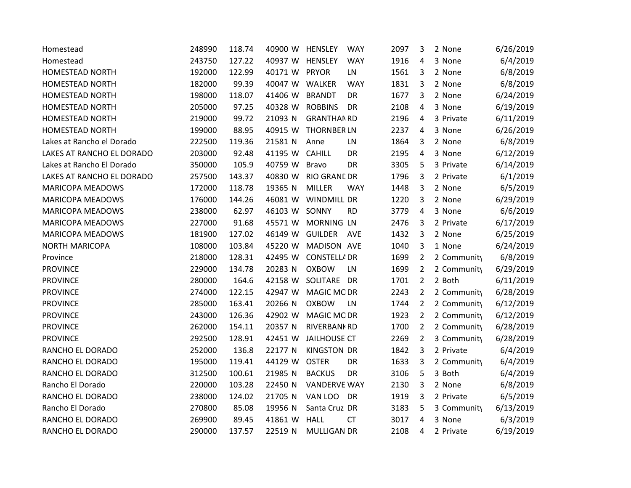| Homestead                 | 248990 | 118.74 | 40900 W HENSLEY | <b>WAY</b>                  | 2097 | 3              | 2 None      | 6/26/2019 |
|---------------------------|--------|--------|-----------------|-----------------------------|------|----------------|-------------|-----------|
| Homestead                 | 243750 | 127.22 | 40937 W HENSLEY | <b>WAY</b>                  | 1916 | 4              | 3 None      | 6/4/2019  |
| <b>HOMESTEAD NORTH</b>    | 192000 | 122.99 | 40171 W PRYOR   | LN                          | 1561 | 3              | 2 None      | 6/8/2019  |
| <b>HOMESTEAD NORTH</b>    | 182000 | 99.39  | 40047 W         | WALKER<br><b>WAY</b>        | 1831 | 3              | 2 None      | 6/8/2019  |
| HOMESTEAD NORTH           | 198000 | 118.07 | 41406 W         | <b>BRANDT</b><br><b>DR</b>  | 1677 | 3              | 2 None      | 6/24/2019 |
| <b>HOMESTEAD NORTH</b>    | 205000 | 97.25  | 40328 W         | <b>ROBBINS</b><br>DR        | 2108 | 4              | 3 None      | 6/19/2019 |
| HOMESTEAD NORTH           | 219000 | 99.72  | 21093 N         | <b>GRANTHAN RD</b>          | 2196 | 4              | 3 Private   | 6/11/2019 |
| HOMESTEAD NORTH           | 199000 | 88.95  | 40915 W         | <b>THORNBER LN</b>          | 2237 | 4              | 3 None      | 6/26/2019 |
| Lakes at Rancho el Dorado | 222500 | 119.36 | 21581 N         | LN<br>Anne                  | 1864 | 3              | 2 None      | 6/8/2019  |
| LAKES AT RANCHO EL DORADO | 203000 | 92.48  | 41195 W         | <b>CAHILL</b><br>DR         | 2195 | 4              | 3 None      | 6/12/2019 |
| Lakes at Rancho El Dorado | 350000 | 105.9  | 40759 W         | <b>Bravo</b><br>DR          | 3305 | 5              | 3 Private   | 6/14/2019 |
| LAKES AT RANCHO EL DORADO | 257500 | 143.37 | 40830 W         | <b>RIO GRANE DR</b>         | 1796 | 3              | 2 Private   | 6/1/2019  |
| <b>MARICOPA MEADOWS</b>   | 172000 | 118.78 | 19365 N         | <b>MILLER</b><br><b>WAY</b> | 1448 | 3              | 2 None      | 6/5/2019  |
| <b>MARICOPA MEADOWS</b>   | 176000 | 144.26 | 46081 W         | WINDMILL DR                 | 1220 | 3              | 2 None      | 6/29/2019 |
| MARICOPA MEADOWS          | 238000 | 62.97  | 46103 W SONNY   | <b>RD</b>                   | 3779 | 4              | 3 None      | 6/6/2019  |
| <b>MARICOPA MEADOWS</b>   | 227000 | 91.68  | 45571 W         | <b>MORNING LN</b>           | 2476 | 3              | 2 Private   | 6/17/2019 |
| <b>MARICOPA MEADOWS</b>   | 181900 | 127.02 | 46149 W         | <b>GUILDER</b><br>AVE       | 1432 | 3              | 2 None      | 6/25/2019 |
| <b>NORTH MARICOPA</b>     | 108000 | 103.84 | 45220 W         | MADISON AVE                 | 1040 | 3              | 1 None      | 6/24/2019 |
| Province                  | 218000 | 128.31 | 42495 W         | <b>CONSTELLA DR</b>         | 1699 | $\overline{2}$ | 2 Community | 6/8/2019  |
| <b>PROVINCE</b>           | 229000 | 134.78 | 20283 N         | <b>OXBOW</b><br>LN          | 1699 | 2              | 2 Community | 6/29/2019 |
| <b>PROVINCE</b>           | 280000 | 164.6  | 42158 W         | SOLITARE<br><b>DR</b>       | 1701 | $\overline{2}$ | 2 Both      | 6/11/2019 |
| <b>PROVINCE</b>           | 274000 | 122.15 | 42947 W         | <b>MAGIC MODR</b>           | 2243 | $\overline{2}$ | 2 Community | 6/28/2019 |
| <b>PROVINCE</b>           | 285000 | 163.41 | 20266 N         | <b>OXBOW</b><br>LN          | 1744 | $\overline{2}$ | 2 Community | 6/12/2019 |
| <b>PROVINCE</b>           | 243000 | 126.36 | 42902 W         | MAGIC MODR                  | 1923 | $\overline{2}$ | 2 Community | 6/12/2019 |
| <b>PROVINCE</b>           | 262000 | 154.11 | 20357 N         | <b>RIVERBANKRD</b>          | 1700 | 2              | 2 Community | 6/28/2019 |
| <b>PROVINCE</b>           | 292500 | 128.91 | 42451 W         | <b>JAILHOUSE CT</b>         | 2269 | $\overline{2}$ | 3 Community | 6/28/2019 |
| RANCHO EL DORADO          | 252000 | 136.8  | 22177 N         | <b>KINGSTON DR</b>          | 1842 | 3              | 2 Private   | 6/4/2019  |
| RANCHO EL DORADO          | 195000 | 119.41 | 44129 W         | <b>OSTER</b><br>DR          | 1633 | 3              | 2 Community | 6/4/2019  |
| RANCHO EL DORADO          | 312500 | 100.61 | 21985 N         | <b>BACKUS</b><br>DR         | 3106 | 5              | 3 Both      | 6/4/2019  |
| Rancho El Dorado          | 220000 | 103.28 | 22450 N         | <b>VANDERVE WAY</b>         | 2130 | 3              | 2 None      | 6/8/2019  |
| RANCHO EL DORADO          | 238000 | 124.02 | 21705 N         | VAN LOO<br>DR               | 1919 | 3              | 2 Private   | 6/5/2019  |
| Rancho El Dorado          | 270800 | 85.08  | 19956 N         | Santa Cruz DR               | 3183 | 5              | 3 Community | 6/13/2019 |
| RANCHO EL DORADO          | 269900 | 89.45  | 41861 W         | <b>HALL</b><br><b>CT</b>    | 3017 | 4              | 3 None      | 6/3/2019  |
| RANCHO EL DORADO          | 290000 | 137.57 | 22519 N         | <b>MULLIGAN DR</b>          | 2108 | 4              | 2 Private   | 6/19/2019 |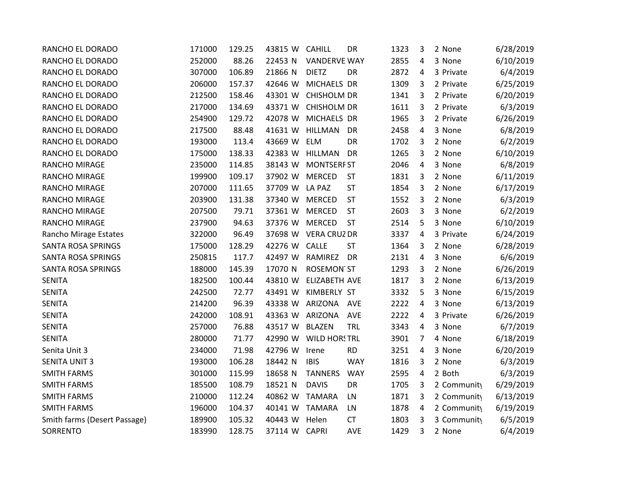| RANCHO EL DORADO             | 171000 | 129.25 | 43815 W       | <b>CAHILL</b>        | DR         | 1323 | 3 | 2 None      | 6/28/2019 |
|------------------------------|--------|--------|---------------|----------------------|------------|------|---|-------------|-----------|
| RANCHO EL DORADO             | 252000 | 88.26  | 22453 N       | <b>VANDERVE WAY</b>  |            | 2855 | 4 | 3 None      | 6/10/2019 |
| RANCHO EL DORADO             | 307000 | 106.89 | 21866 N       | <b>DIETZ</b>         | DR         | 2872 | 4 | 3 Private   | 6/4/2019  |
| RANCHO EL DORADO             | 206000 | 157.37 | 42646 W       | MICHAELS DR          |            | 1309 | 3 | 2 Private   | 6/25/2019 |
| RANCHO EL DORADO             | 212500 | 158.46 | 43301 W       | <b>CHISHOLM DR</b>   |            | 1341 | 3 | 2 Private   | 6/20/2019 |
| RANCHO EL DORADO             | 217000 | 134.69 | 43371 W       | <b>CHISHOLM DR</b>   |            | 1611 | 3 | 2 Private   | 6/3/2019  |
| RANCHO EL DORADO             | 254900 | 129.72 | 42078 W       | MICHAELS DR          |            | 1965 | 3 | 2 Private   | 6/26/2019 |
| RANCHO EL DORADO             | 217500 | 88.48  | 41631 W       | <b>HILLMAN</b>       | DR         | 2458 | 4 | 3 None      | 6/8/2019  |
| RANCHO EL DORADO             | 193000 | 113.4  | 43669 W       | <b>ELM</b>           | DR         | 1702 | 3 | 2 None      | 6/2/2019  |
| RANCHO EL DORADO             | 175000 | 138.33 | 42383 W       | <b>HILLMAN</b>       | DR         | 1265 | 3 | 2 None      | 6/10/2019 |
| RANCHO MIRAGE                | 235000 | 114.85 | 38143 W       | <b>MONTSERF ST</b>   |            | 2046 | 4 | 3 None      | 6/8/2019  |
| RANCHO MIRAGE                | 199900 | 109.17 | 37902 W       | <b>MERCED</b>        | <b>ST</b>  | 1831 | 3 | 2 None      | 6/11/2019 |
| <b>RANCHO MIRAGE</b>         | 207000 | 111.65 | 37709 W       | LA PAZ               | <b>ST</b>  | 1854 | 3 | 2 None      | 6/17/2019 |
| <b>RANCHO MIRAGE</b>         | 203900 | 131.38 | 37340 W       | <b>MERCED</b>        | <b>ST</b>  | 1552 | 3 | 2 None      | 6/3/2019  |
| <b>RANCHO MIRAGE</b>         | 207500 | 79.71  | 37361 W       | <b>MERCED</b>        | <b>ST</b>  | 2603 | 3 | 3 None      | 6/2/2019  |
| <b>RANCHO MIRAGE</b>         | 237900 | 94.63  | 37376 W       | <b>MERCED</b>        | <b>ST</b>  | 2514 | 5 | 3 None      | 6/10/2019 |
| Rancho Mirage Estates        | 322000 | 96.49  |               | 37698 W VERA CRUZ DR |            | 3337 | 4 | 3 Private   | 6/24/2019 |
| <b>SANTA ROSA SPRINGS</b>    | 175000 | 128.29 | 42276 W       | CALLE                | <b>ST</b>  | 1364 | 3 | 2 None      | 6/28/2019 |
| SANTA ROSA SPRINGS           | 250815 | 117.7  | 42497 W       | RAMIREZ              | DR         | 2131 | 4 | 3 None      | 6/6/2019  |
| SANTA ROSA SPRINGS           | 188000 | 145.39 | 17070 N       | <b>ROSEMON ST</b>    |            | 1293 | 3 | 2 None      | 6/26/2019 |
| <b>SENITA</b>                | 182500 | 100.44 | 43810 W       | ELIZABETH AVE        |            | 1817 | 3 | 2 None      | 6/13/2019 |
| <b>SENITA</b>                | 242500 | 72.77  | 43491 W       | KIMBERLY ST          |            | 3332 | 5 | 3 None      | 6/15/2019 |
| <b>SENITA</b>                | 214200 | 96.39  | 43338 W       | ARIZONA              | <b>AVE</b> | 2222 | 4 | 3 None      | 6/13/2019 |
| <b>SENITA</b>                | 242000 | 108.91 | 43363 W       | ARIZONA              | <b>AVE</b> | 2222 | 4 | 3 Private   | 6/26/2019 |
| <b>SENITA</b>                | 257000 | 76.88  | 43517 W       | <b>BLAZEN</b>        | TRL        | 3343 | 4 | 3 None      | 6/7/2019  |
| <b>SENITA</b>                | 280000 | 71.77  | 42990 W       | <b>WILD HORSTRL</b>  |            | 3901 | 7 | 4 None      | 6/18/2019 |
| Senita Unit 3                | 234000 | 71.98  | 42796 W       | Irene                | <b>RD</b>  | 3251 | 4 | 3 None      | 6/20/2019 |
| <b>SENITA UNIT 3</b>         | 193000 | 106.28 | 18442 N       | <b>IBIS</b>          | <b>WAY</b> | 1816 | 3 | 2 None      | 6/3/2019  |
| <b>SMITH FARMS</b>           | 301000 | 115.99 | 18658 N       | <b>TANNERS</b>       | <b>WAY</b> | 2595 | 4 | 2 Both      | 6/3/2019  |
| <b>SMITH FARMS</b>           | 185500 | 108.79 | 18521 N       | <b>DAVIS</b>         | DR         | 1705 | 3 | 2 Community | 6/29/2019 |
| <b>SMITH FARMS</b>           | 210000 | 112.24 | 40862 W       | <b>TAMARA</b>        | LN         | 1871 | 3 | 2 Community | 6/13/2019 |
| <b>SMITH FARMS</b>           | 196000 | 104.37 | 40141 W       | <b>TAMARA</b>        | LN         | 1878 | 4 | 2 Community | 6/19/2019 |
| Smith farms (Desert Passage) | 189900 | 105.32 | 40443 W       | Helen                | <b>CT</b>  | 1803 | 3 | 3 Community | 6/5/2019  |
| SORRENTO                     | 183990 | 128.75 | 37114 W CAPRI |                      | AVE        | 1429 | 3 | 2 None      | 6/4/2019  |